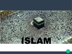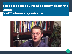#### Ten Fast Facts You Need to Know about the Quran David Wood – answeringmuslims.com

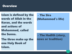#### **Overview**

Islam is defined by the words of Allah in the Koran, and the words and actions of Mohammed, called the Sunna.

The three make up the one Holy Book of Islam.

- The Sira (Mohammed's life)

- The Hadith (story, news or tradition)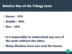#### Relative Size of the Trilogy texts

- Koran 14%
- Hadith 60%
- Sira 26%

- It is impossible to understand any one of the texts without the other.
- Many Muslims have not read the Sunna.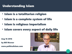#### Understanding Islam

- **· Islam is a totalitarian religion**
- Islam is a complete system of life
- **· Islam is religious imperialism**
- Islam covers every aspect of daily life

Aug 16 2016

by Bill Warner

www.politicalislam.com

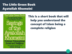# The Little Green Book Ayatollah Khomeini



This is a short book that will help you understand the concept of Islam being a complete religion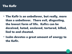#### The Kafir

- The Kafir is an unbeliever, but really, more than a unbeliever. There evil, disgusting, the lowest form of life. Kafirs can be deceived, hated, enslaved, tortured, killed, lied to and cheated.
- Isalm devotes a great amount of energy to the Kafir.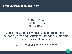#### Text devoted to the Kafir

Koran –  $64\%$ Hadith  $-37%$ Sira – 81%

A Kafir includes: Polytheists, idolaters, people of the book (Jews and Christians), Buddhists, atheists, agnostics and pagans

Koran ref: 83:34, 47:4, 86:15, 8:12, 3:12, 33:60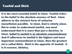#### Tawhid and Shirk

It is the most essential belief in Islam. Tawhid refers to the belief in the absolute oneness of God. Islam adheres to the strictest form of unitarian monotheism possible. In Islam, God is utterly alone. But in order to understand tawhid, one must understand that it is more than just a doctrine. In Islam, belief in tawhid is an absolute commandment. And if adherence to tawhid is the highest and most important commandment in Islam, then the greatest sin is called Shirk. Shirk is the opposite of tawhid. It is in essence, idolatry.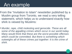# An example

- From the "Invitation to Islam" newsletter published by a Muslim group from Toronto, we read a very telling statement, which helps us to understand exactly how shirk is viewed by Muslims:
- Murder, rape, child molesting and genocide. These are all some of the appalling crimes which occur in our world today. Many would think that these are the worst possible offenses which could be committed. But there is something which outweighs all of these crimes put together: It is the crime of shirk.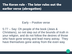# The Koran rule - The later rules out the earlier verse (abrogation)

#### Early – Positive verse

5:77 – Say: Oh people of the book (Jews & Christians), so not step out of the bounds of truth in your religion, and do not follow the desires of those who have gone wrong and lead many astray. They have themselves gone astray from the even way.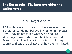## The Koran rule - The later overrides the earlier verse

#### Later – Negative verse

9:29 – Make war of those who have received the Scriptures but do not believe in Allah or in the Last Day. They do not forbid what Allah and His Messenger have forbidden The Christians and Jews do not follow the religion of truth until they submit and pay the poll tax and they are humiliated.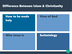#### Difference Between Islam & Christianity

#### How to be made holy

#### View of God

#### • Who Jesus is **Eschatology**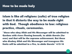#### How to be made holy

## Islam is like all religions (cults) of true religion in that it distorts the way to be made right with God. Though obedience to law: religious practice, rituals, ceremonies.

"those who obey Allah and His Messenger will be admitted to Gardens with rivers flowing beneath, to abide therein (for ever) and that will be the supreme achievement. But those who disobey Allah and His Messenger and transgress His limits will be admitted to a Fire, to abide therein" 4:13-14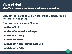Islam says the name of God is Allah, which is simply Arabic for "the (al) God (Ilah)."

From the Koran we learn Allah is:

- Author of Evil
- Author of Abrogation (change)
- Author of carnality
- Allah is not triune
- Allah is not a personal/intimate God
- Allah is not a Father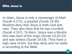#### Who Jesus is

In Islam, Jesus is only a messenger of Allah (Surah 4:171), a prophet (Surah 19:30). Muslims deny that Jesus is both God and man. They also deny that he was crucified (Surah 4:157). To them, Jesus was a Muslim who was born of the virgin (Surah 19:20-22) and was sinless (Surah 19:19). They have a high view of him, but they deny who he really is according to the Bible.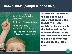#### Islam & Bible (complete opposites)

Say, "He is Allah, (the) One. Allah, the Eternal Refuge. He begets not, nor was He begotten, Nor is there to Him any equivalent!" (Qur'an 112)

1 st John 2:22-23 Who is the liar but he who denies that Jesus is the Christ? This is the Antichrist, he who denies the Father and the Son. Whoever denies the Son does not have the Father; the one who confesses the Son has the Father also.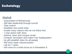## Eschatology

# Mahdi

- Descendant of Muhammad
- Will take leadership through turmoil
- Take control
- Establish new world order
- Invade many nations who do not follow Him
- 7 year peace with Jews
- Destroy Jews and conquer Israel
- Conquer Jerusalem and make it his headquarters
- he will establish Islam for all people
- Will have super natural powers
- rule for 7 years
- will come on a white horse as in Revelation 6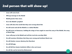#### 2nd person that will show up!

- Jesus will come back.
- Will pay homage to the Mahdi
- Mahdi greater than Jesus.
- He is the Mahdi's prophet!
- Jesus will show the world that they were wrong about him
- He will assist and aid the Mahdi as a radical Muslim
- He will arrive at Damascus, holding the wings of two angels to meet the army of the Mahdi, the army of black flags
- Jesus will pray to the Mahdi and call him Lord also worship Allah
- He will convince Christians that they were wrong and institute Sharia Law
- He will shatter crosses (destroy the Churches)
- **•** He will kill pigs
- He will kill the Islamic Antichrist (Who is the real Jesus)
- He will die and be buried by Mohammad